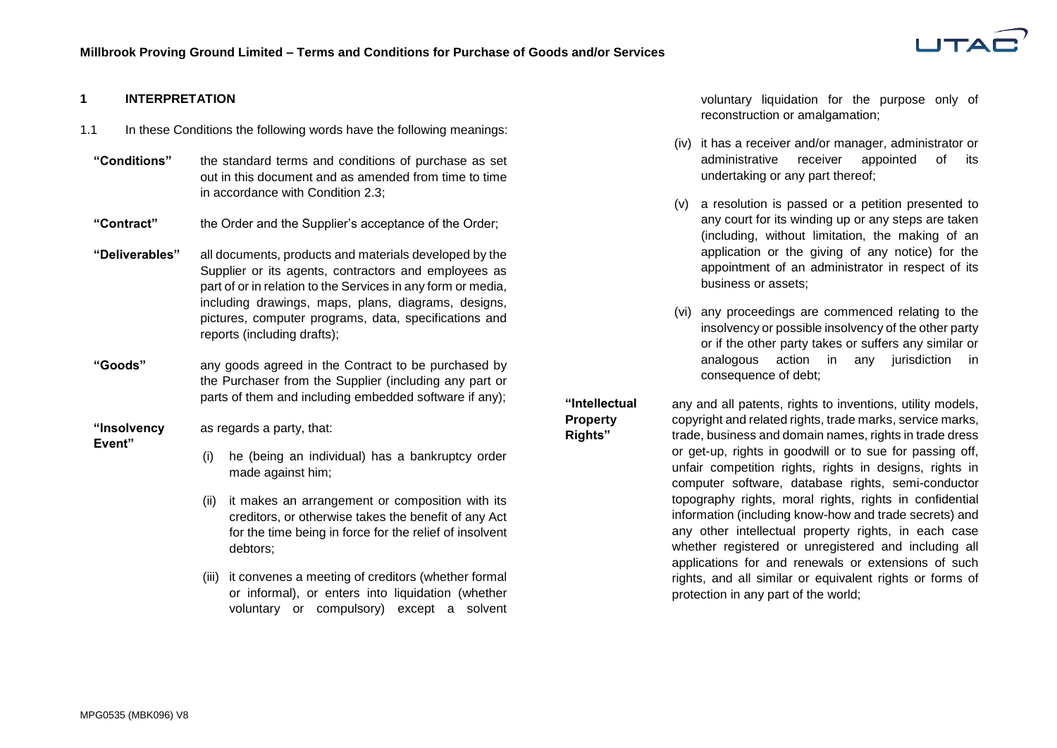

#### **1 INTERPRETATION**

- 1.1 In these Conditions the following words have the following meanings:
	- **"Conditions"** the standard terms and conditions of purchase as set out in this document and as amended from time to time in accordance with Condition [2.3;](#page-2-0)
	- **"Contract"** the Order and the Supplier's acceptance of the Order;
	- **"Deliverables"** all documents, products and materials developed by the Supplier or its agents, contractors and employees as part of or in relation to the Services in any form or media, including drawings, maps, plans, diagrams, designs, pictures, computer programs, data, specifications and reports (including drafts);
	- **"Goods"** any goods agreed in the Contract to be purchased by the Purchaser from the Supplier (including any part or parts of them and including embedded software if any);

**"Insolvency**  as regards a party, that:

**Event"**

- (i) he (being an individual) has a bankruptcy order made against him;
- (ii) it makes an arrangement or composition with its creditors, or otherwise takes the benefit of any Act for the time being in force for the relief of insolvent debtors;
- (iii) it convenes a meeting of creditors (whether formal or informal), or enters into liquidation (whether voluntary or compulsory) except a solvent

voluntary liquidation for the purpose only of reconstruction or amalgamation;

- (iv) it has a receiver and/or manager, administrator or administrative receiver appointed of its undertaking or any part thereof;
- (v) a resolution is passed or a petition presented to any court for its winding up or any steps are taken (including, without limitation, the making of an application or the giving of any notice) for the appointment of an administrator in respect of its business or assets;
- (vi) any proceedings are commenced relating to the insolvency or possible insolvency of the other party or if the other party takes or suffers any similar or analogous action in any jurisdiction in consequence of debt;

**"Intellectual Property** 

**Rights"**

any and all patents, rights to inventions, utility models, copyright and related rights, trade marks, service marks, trade, business and domain names, rights in trade dress or get-up, rights in goodwill or to sue for passing off, unfair competition rights, rights in designs, rights in computer software, database rights, semi-conductor topography rights, moral rights, rights in confidential information (including know-how and trade secrets) and any other intellectual property rights, in each case whether registered or unregistered and including all applications for and renewals or extensions of such rights, and all similar or equivalent rights or forms of protection in any part of the world;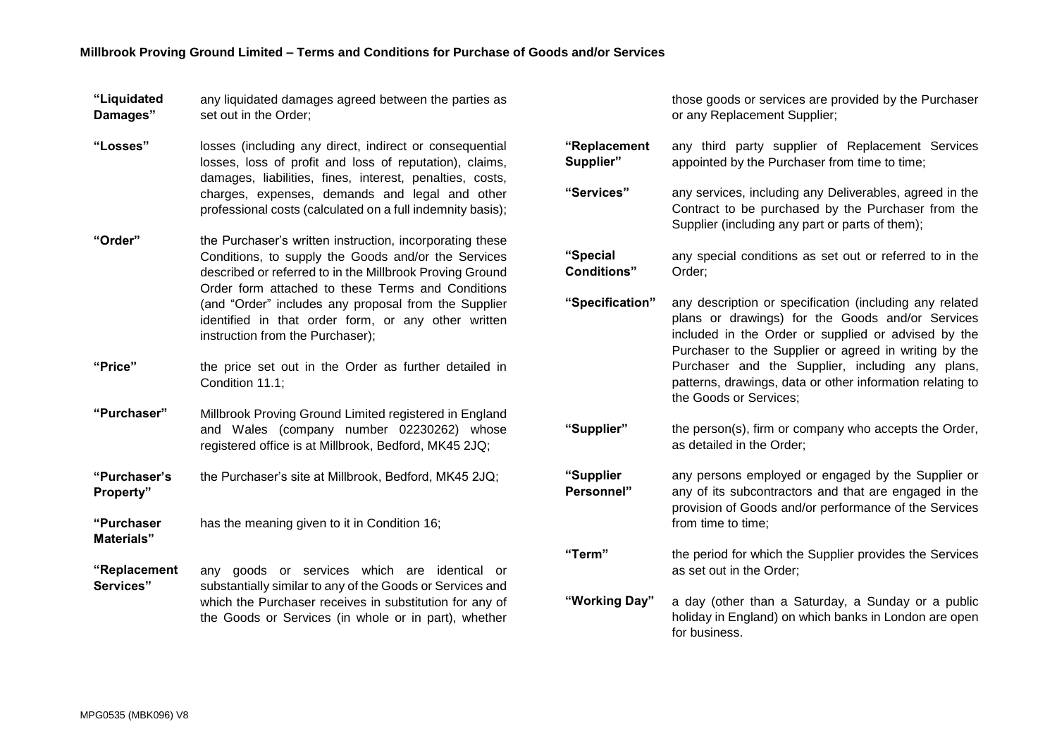| "Liquidated | any liquidated damages agreed between the parties as |
|-------------|------------------------------------------------------|
| Damages"    | set out in the Order;                                |

- **"Losses"** losses (including any direct, indirect or consequential losses, loss of profit and loss of reputation), claims, damages, liabilities, fines, interest, penalties, costs, charges, expenses, demands and legal and other professional costs (calculated on a full indemnity basis);
- **"Order"** the Purchaser's written instruction, incorporating these Conditions, to supply the Goods and/or the Services described or referred to in the Millbrook Proving Ground Order form attached to these Terms and Conditions (and "Order" includes any proposal from the Supplier identified in that order form, or any other written instruction from the Purchaser);
- **"Price"** the price set out in the Order as further detailed in Condition [11.1;](#page-7-0)
- **"Purchaser"** Millbrook Proving Ground Limited registered in England and Wales (company number 02230262) whose registered office is at Millbrook, Bedford, MK45 2JQ;
- **"Purchaser's Property"** the Purchaser's site at Millbrook, Bedford, MK45 2JQ;
- **"Purchaser Materials"** has the meaning given to it in Condition [16;](#page-8-0)
- **"Replacement Services"** any goods or services which are identical or substantially similar to any of the Goods or Services and which the Purchaser receives in substitution for any of the Goods or Services (in whole or in part), whether

those goods or services are provided by the Purchaser or any Replacement Supplier;

- **"Replacement Supplier"** any third party supplier of Replacement Services appointed by the Purchaser from time to time; **"Services"** any services, including any Deliverables, agreed in the Contract to be purchased by the Purchaser from the Supplier (including any part or parts of them); **"Special Conditions"** any special conditions as set out or referred to in the Order; **"Specification"** any description or specification (including any related plans or drawings) for the Goods and/or Services included in the Order or supplied or advised by the Purchaser to the Supplier or agreed in writing by the Purchaser and the Supplier, including any plans, patterns, drawings, data or other information relating to the Goods or Services; **"Supplier"** the person(s), firm or company who accepts the Order, as detailed in the Order; **"Supplier Personnel"** any persons employed or engaged by the Supplier or any of its subcontractors and that are engaged in the provision of Goods and/or performance of the Services from time to time; **"Term"** the period for which the Supplier provides the Services as set out in the Order; **"Working Day"** a day (other than a Saturday, a Sunday or a public
	- holiday in England) on which banks in London are open for business.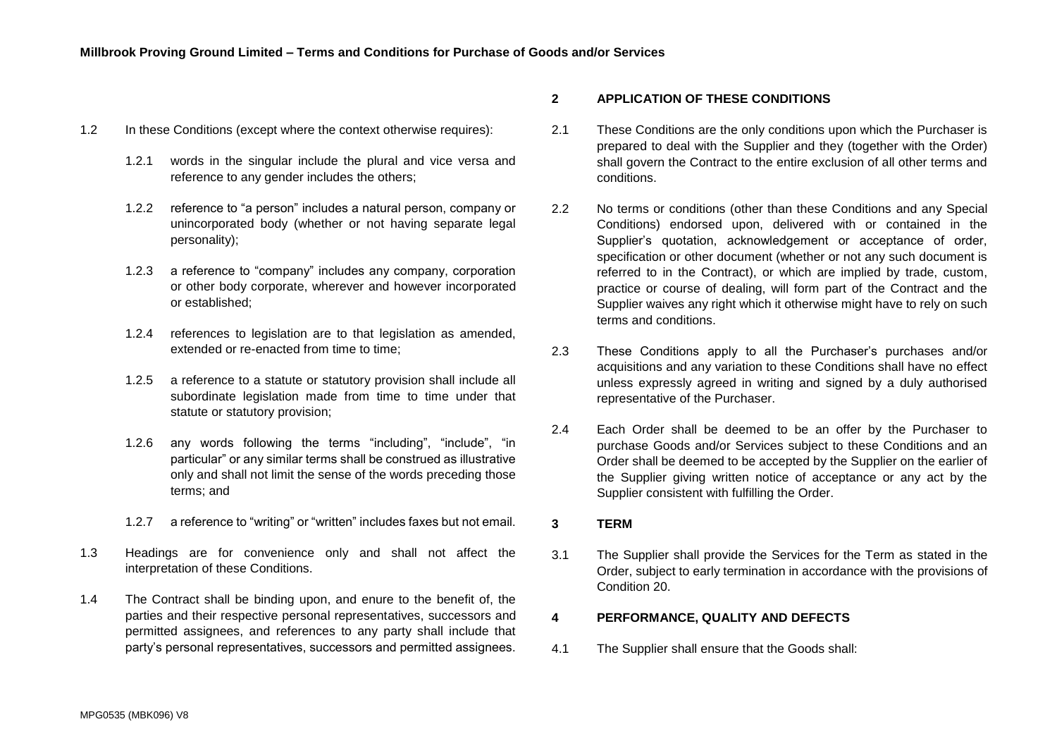- 1.2 In these Conditions (except where the context otherwise requires):
	- 1.2.1 words in the singular include the plural and vice versa and reference to any gender includes the others;
	- 1.2.2 reference to "a person" includes a natural person, company or unincorporated body (whether or not having separate legal personality);
	- 1.2.3 a reference to "company" includes any company, corporation or other body corporate, wherever and however incorporated or established;
	- 1.2.4 references to legislation are to that legislation as amended, extended or re-enacted from time to time;
	- 1.2.5 a reference to a statute or statutory provision shall include all subordinate legislation made from time to time under that statute or statutory provision;
	- 1.2.6 any words following the terms "including", "include", "in particular" or any similar terms shall be construed as illustrative only and shall not limit the sense of the words preceding those terms; and
	- 1.2.7 a reference to "writing" or "written" includes faxes but not email.
- 1.3 Headings are for convenience only and shall not affect the interpretation of these Conditions.
- 1.4 The Contract shall be binding upon, and enure to the benefit of, the parties and their respective personal representatives, successors and permitted assignees, and references to any party shall include that party's personal representatives, successors and permitted assignees.

## **2 APPLICATION OF THESE CONDITIONS**

- 2.1 These Conditions are the only conditions upon which the Purchaser is prepared to deal with the Supplier and they (together with the Order) shall govern the Contract to the entire exclusion of all other terms and conditions.
- 2.2 No terms or conditions (other than these Conditions and any Special Conditions) endorsed upon, delivered with or contained in the Supplier's quotation, acknowledgement or acceptance of order, specification or other document (whether or not any such document is referred to in the Contract), or which are implied by trade, custom, practice or course of dealing, will form part of the Contract and the Supplier waives any right which it otherwise might have to rely on such terms and conditions.
- <span id="page-2-0"></span>2.3 These Conditions apply to all the Purchaser's purchases and/or acquisitions and any variation to these Conditions shall have no effect unless expressly agreed in writing and signed by a duly authorised representative of the Purchaser.
- 2.4 Each Order shall be deemed to be an offer by the Purchaser to purchase Goods and/or Services subject to these Conditions and an Order shall be deemed to be accepted by the Supplier on the earlier of the Supplier giving written notice of acceptance or any act by the Supplier consistent with fulfilling the Order.
- **3 TERM**
- 3.1 The Supplier shall provide the Services for the Term as stated in the Order, subject to early termination in accordance with the provisions of Condition [20.](#page-11-0)

#### <span id="page-2-1"></span>**4 PERFORMANCE, QUALITY AND DEFECTS**

4.1 The Supplier shall ensure that the Goods shall: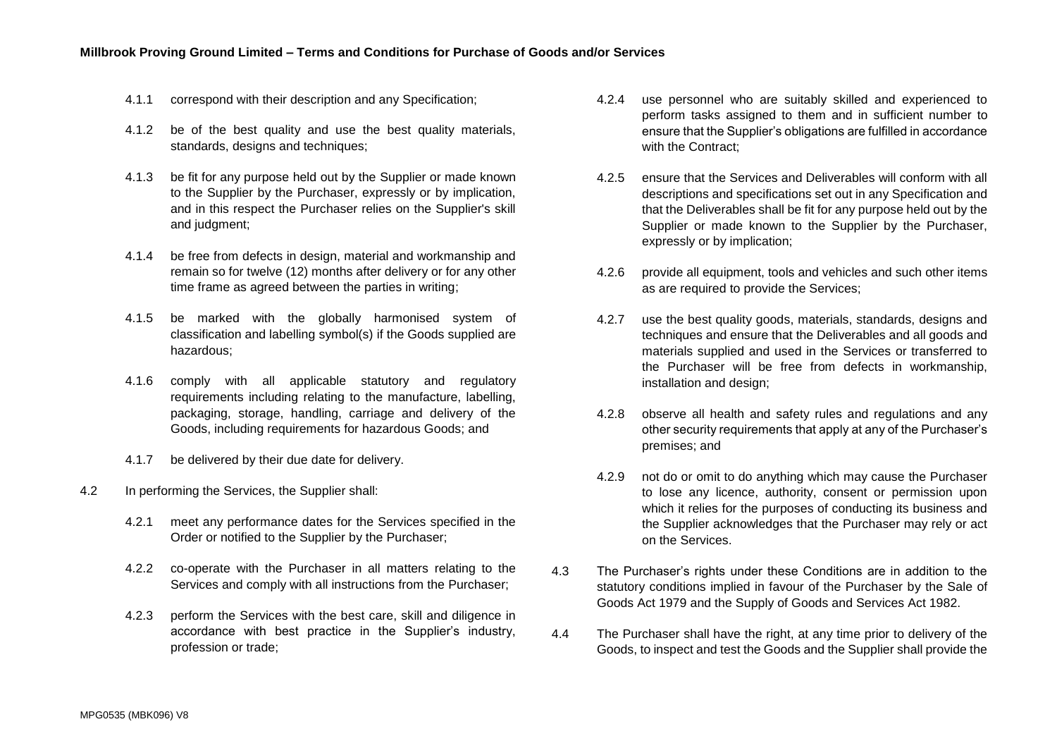- 4.1.1 correspond with their description and any Specification;
- 4.1.2 be of the best quality and use the best quality materials, standards, designs and techniques;
- 4.1.3 be fit for any purpose held out by the Supplier or made known to the Supplier by the Purchaser, expressly or by implication, and in this respect the Purchaser relies on the Supplier's skill and judgment:
- 4.1.4 be free from defects in design, material and workmanship and remain so for twelve (12) months after delivery or for any other time frame as agreed between the parties in writing;
- 4.1.5 be marked with the globally harmonised system of classification and labelling symbol(s) if the Goods supplied are hazardous;
- 4.1.6 comply with all applicable statutory and regulatory requirements including relating to the manufacture, labelling, packaging, storage, handling, carriage and delivery of the Goods, including requirements for hazardous Goods; and
- 4.1.7 be delivered by their due date for delivery.
- 4.2 In performing the Services, the Supplier shall:
	- 4.2.1 meet any performance dates for the Services specified in the Order or notified to the Supplier by the Purchaser;
	- 4.2.2 co-operate with the Purchaser in all matters relating to the Services and comply with all instructions from the Purchaser;
	- 4.2.3 perform the Services with the best care, skill and diligence in accordance with best practice in the Supplier's industry, profession or trade;
- 4.2.4 use personnel who are suitably skilled and experienced to perform tasks assigned to them and in sufficient number to ensure that the Supplier's obligations are fulfilled in accordance with the Contract;
- 4.2.5 ensure that the Services and Deliverables will conform with all descriptions and specifications set out in any Specification and that the Deliverables shall be fit for any purpose held out by the Supplier or made known to the Supplier by the Purchaser, expressly or by implication;
- 4.2.6 provide all equipment, tools and vehicles and such other items as are required to provide the Services;
- 4.2.7 use the best quality goods, materials, standards, designs and techniques and ensure that the Deliverables and all goods and materials supplied and used in the Services or transferred to the Purchaser will be free from defects in workmanship, installation and design;
- 4.2.8 observe all health and safety rules and regulations and any other security requirements that apply at any of the Purchaser's premises; and
- 4.2.9 not do or omit to do anything which may cause the Purchaser to lose any licence, authority, consent or permission upon which it relies for the purposes of conducting its business and the Supplier acknowledges that the Purchaser may rely or act on the Services.
- 4.3 The Purchaser's rights under these Conditions are in addition to the statutory conditions implied in favour of the Purchaser by the Sale of Goods Act 1979 and the Supply of Goods and Services Act 1982.
- 4.4 The Purchaser shall have the right, at any time prior to delivery of the Goods, to inspect and test the Goods and the Supplier shall provide the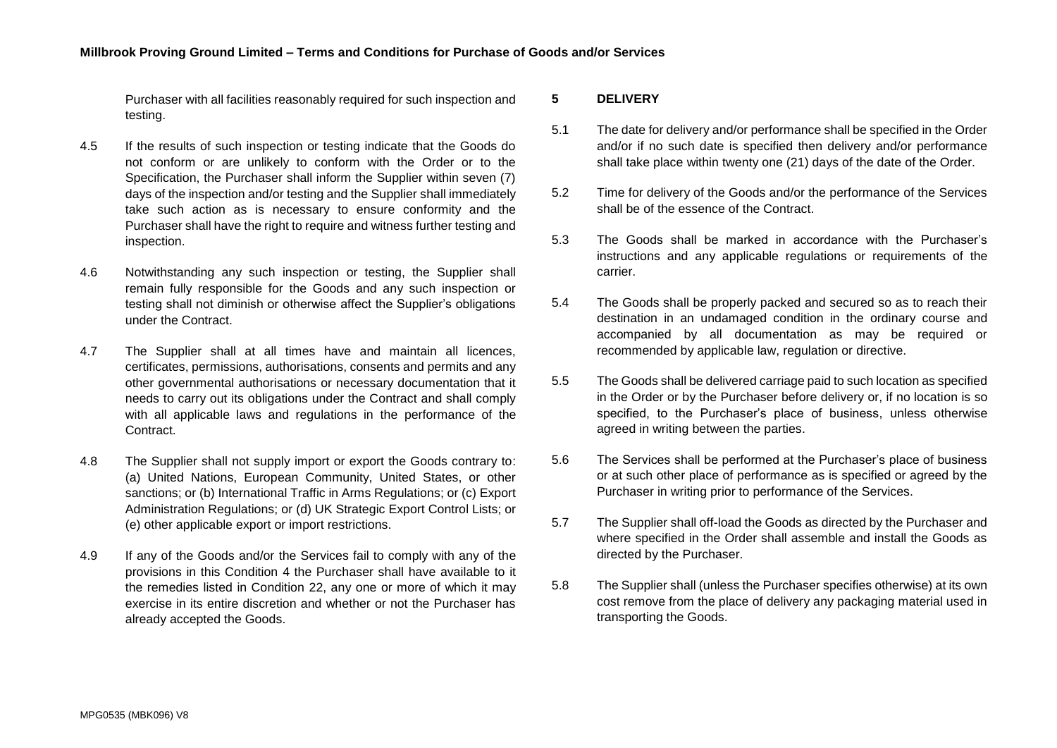Purchaser with all facilities reasonably required for such inspection and testing.

- 4.5 If the results of such inspection or testing indicate that the Goods do not conform or are unlikely to conform with the Order or to the Specification, the Purchaser shall inform the Supplier within seven (7) days of the inspection and/or testing and the Supplier shall immediately take such action as is necessary to ensure conformity and the Purchaser shall have the right to require and witness further testing and inspection.
- 4.6 Notwithstanding any such inspection or testing, the Supplier shall remain fully responsible for the Goods and any such inspection or testing shall not diminish or otherwise affect the Supplier's obligations under the Contract.
- 4.7 The Supplier shall at all times have and maintain all licences, certificates, permissions, authorisations, consents and permits and any other governmental authorisations or necessary documentation that it needs to carry out its obligations under the Contract and shall comply with all applicable laws and regulations in the performance of the **Contract**
- 4.8 The Supplier shall not supply import or export the Goods contrary to: (a) United Nations, European Community, United States, or other sanctions; or (b) International Traffic in Arms Regulations; or (c) Export Administration Regulations; or (d) UK Strategic Export Control Lists; or (e) other applicable export or import restrictions.
- 4.9 If any of the Goods and/or the Services fail to comply with any of the provisions in this Condition [4](#page-2-1) the Purchaser shall have available to it the remedies listed in Condition [22,](#page-12-0) any one or more of which it may exercise in its entire discretion and whether or not the Purchaser has already accepted the Goods.

## <span id="page-4-0"></span>**5 DELIVERY**

- 5.1 The date for delivery and/or performance shall be specified in the Order and/or if no such date is specified then delivery and/or performance shall take place within twenty one (21) days of the date of the Order.
- 5.2 Time for delivery of the Goods and/or the performance of the Services shall be of the essence of the Contract.
- 5.3 The Goods shall be marked in accordance with the Purchaser's instructions and any applicable regulations or requirements of the carrier.
- 5.4 The Goods shall be properly packed and secured so as to reach their destination in an undamaged condition in the ordinary course and accompanied by all documentation as may be required or recommended by applicable law, regulation or directive.
- 5.5 The Goods shall be delivered carriage paid to such location as specified in the Order or by the Purchaser before delivery or, if no location is so specified, to the Purchaser's place of business, unless otherwise agreed in writing between the parties.
- 5.6 The Services shall be performed at the Purchaser's place of business or at such other place of performance as is specified or agreed by the Purchaser in writing prior to performance of the Services.
- 5.7 The Supplier shall off-load the Goods as directed by the Purchaser and where specified in the Order shall assemble and install the Goods as directed by the Purchaser.
- 5.8 The Supplier shall (unless the Purchaser specifies otherwise) at its own cost remove from the place of delivery any packaging material used in transporting the Goods.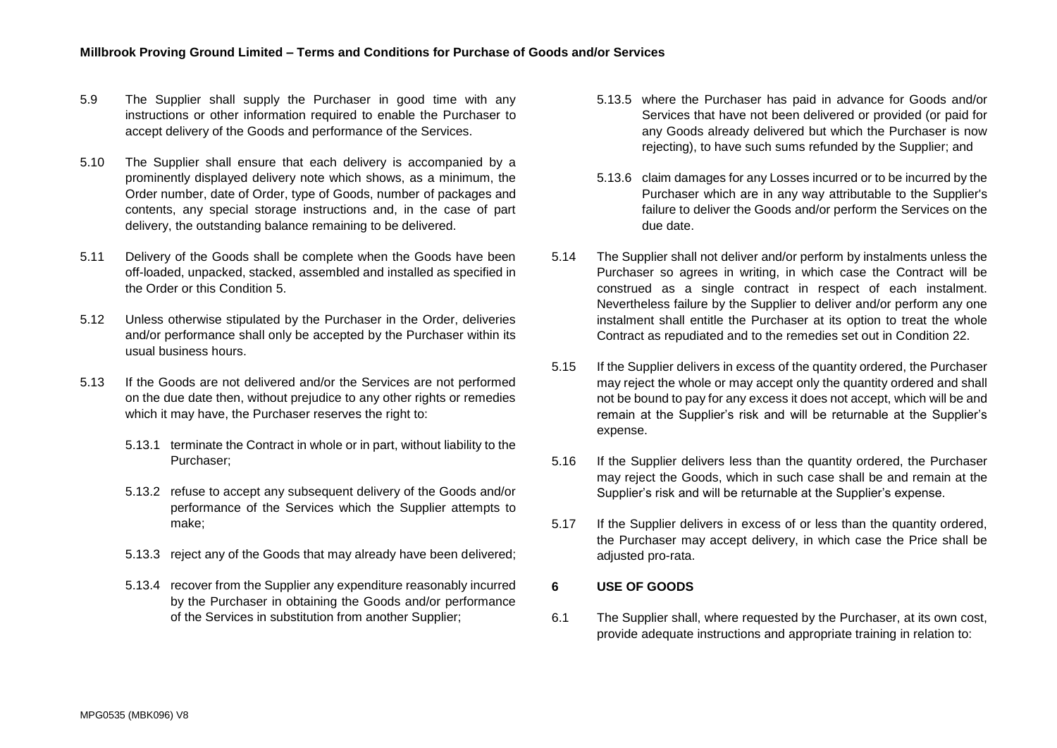- 5.9 The Supplier shall supply the Purchaser in good time with any instructions or other information required to enable the Purchaser to accept delivery of the Goods and performance of the Services.
- 5.10 The Supplier shall ensure that each delivery is accompanied by a prominently displayed delivery note which shows, as a minimum, the Order number, date of Order, type of Goods, number of packages and contents, any special storage instructions and, in the case of part delivery, the outstanding balance remaining to be delivered.
- 5.11 Delivery of the Goods shall be complete when the Goods have been off-loaded, unpacked, stacked, assembled and installed as specified in the Order or this Condition [5.](#page-4-0)
- 5.12 Unless otherwise stipulated by the Purchaser in the Order, deliveries and/or performance shall only be accepted by the Purchaser within its usual business hours.
- <span id="page-5-1"></span>5.13 If the Goods are not delivered and/or the Services are not performed on the due date then, without prejudice to any other rights or remedies which it may have, the Purchaser reserves the right to:
	- 5.13.1 terminate the Contract in whole or in part, without liability to the Purchaser;
	- 5.13.2 refuse to accept any subsequent delivery of the Goods and/or performance of the Services which the Supplier attempts to make;
	- 5.13.3 reject any of the Goods that may already have been delivered;
	- 5.13.4 recover from the Supplier any expenditure reasonably incurred by the Purchaser in obtaining the Goods and/or performance of the Services in substitution from another Supplier;
- 5.13.5 where the Purchaser has paid in advance for Goods and/or Services that have not been delivered or provided (or paid for any Goods already delivered but which the Purchaser is now rejecting), to have such sums refunded by the Supplier; and
- 5.13.6 claim damages for any Losses incurred or to be incurred by the Purchaser which are in any way attributable to the Supplier's failure to deliver the Goods and/or perform the Services on the due date.
- 5.14 The Supplier shall not deliver and/or perform by instalments unless the Purchaser so agrees in writing, in which case the Contract will be construed as a single contract in respect of each instalment. Nevertheless failure by the Supplier to deliver and/or perform any one instalment shall entitle the Purchaser at its option to treat the whole Contract as repudiated and to the remedies set out in Condition [22.](#page-12-0)
- 5.15 If the Supplier delivers in excess of the quantity ordered, the Purchaser may reject the whole or may accept only the quantity ordered and shall not be bound to pay for any excess it does not accept, which will be and remain at the Supplier's risk and will be returnable at the Supplier's expense.
- 5.16 If the Supplier delivers less than the quantity ordered, the Purchaser may reject the Goods, which in such case shall be and remain at the Supplier's risk and will be returnable at the Supplier's expense.
- 5.17 If the Supplier delivers in excess of or less than the quantity ordered, the Purchaser may accept delivery, in which case the Price shall be adjusted pro-rata.

## **6 USE OF GOODS**

<span id="page-5-0"></span>6.1 The Supplier shall, where requested by the Purchaser, at its own cost, provide adequate instructions and appropriate training in relation to: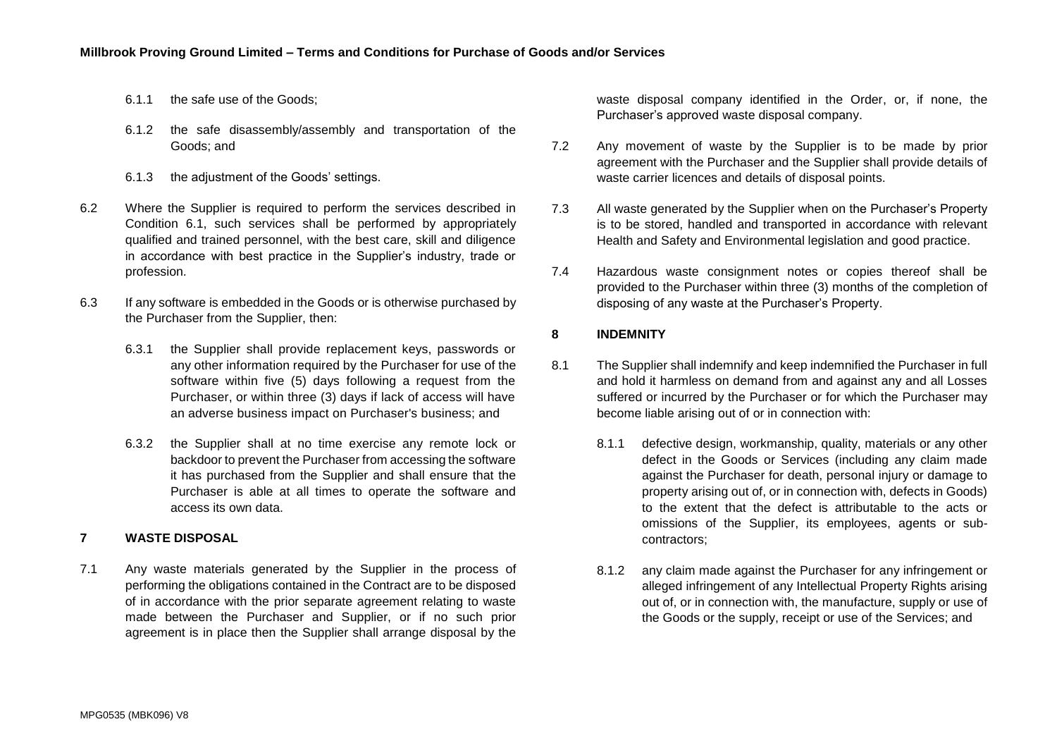- 6.1.1 the safe use of the Goods;
- 6.1.2 the safe disassembly/assembly and transportation of the Goods; and
- 6.1.3 the adjustment of the Goods' settings.
- 6.2 Where the Supplier is required to perform the services described in Condition [6.1,](#page-5-0) such services shall be performed by appropriately qualified and trained personnel, with the best care, skill and diligence in accordance with best practice in the Supplier's industry, trade or profession.
- 6.3 If any software is embedded in the Goods or is otherwise purchased by the Purchaser from the Supplier, then:
	- 6.3.1 the Supplier shall provide replacement keys, passwords or any other information required by the Purchaser for use of the software within five (5) days following a request from the Purchaser, or within three (3) days if lack of access will have an adverse business impact on Purchaser's business; and
	- 6.3.2 the Supplier shall at no time exercise any remote lock or backdoor to prevent the Purchaser from accessing the software it has purchased from the Supplier and shall ensure that the Purchaser is able at all times to operate the software and access its own data.

## **7 WASTE DISPOSAL**

7.1 Any waste materials generated by the Supplier in the process of performing the obligations contained in the Contract are to be disposed of in accordance with the prior separate agreement relating to waste made between the Purchaser and Supplier, or if no such prior agreement is in place then the Supplier shall arrange disposal by the

waste disposal company identified in the Order, or, if none, the Purchaser's approved waste disposal company.

- 7.2 Any movement of waste by the Supplier is to be made by prior agreement with the Purchaser and the Supplier shall provide details of waste carrier licences and details of disposal points.
- 7.3 All waste generated by the Supplier when on the Purchaser's Property is to be stored, handled and transported in accordance with relevant Health and Safety and Environmental legislation and good practice.
- 7.4 Hazardous waste consignment notes or copies thereof shall be provided to the Purchaser within three (3) months of the completion of disposing of any waste at the Purchaser's Property.

# <span id="page-6-0"></span>**8 INDEMNITY**

- 8.1 The Supplier shall indemnify and keep indemnified the Purchaser in full and hold it harmless on demand from and against any and all Losses suffered or incurred by the Purchaser or for which the Purchaser may become liable arising out of or in connection with:
	- 8.1.1 defective design, workmanship, quality, materials or any other defect in the Goods or Services (including any claim made against the Purchaser for death, personal injury or damage to property arising out of, or in connection with, defects in Goods) to the extent that the defect is attributable to the acts or omissions of the Supplier, its employees, agents or subcontractors;
	- 8.1.2 any claim made against the Purchaser for any infringement or alleged infringement of any Intellectual Property Rights arising out of, or in connection with, the manufacture, supply or use of the Goods or the supply, receipt or use of the Services; and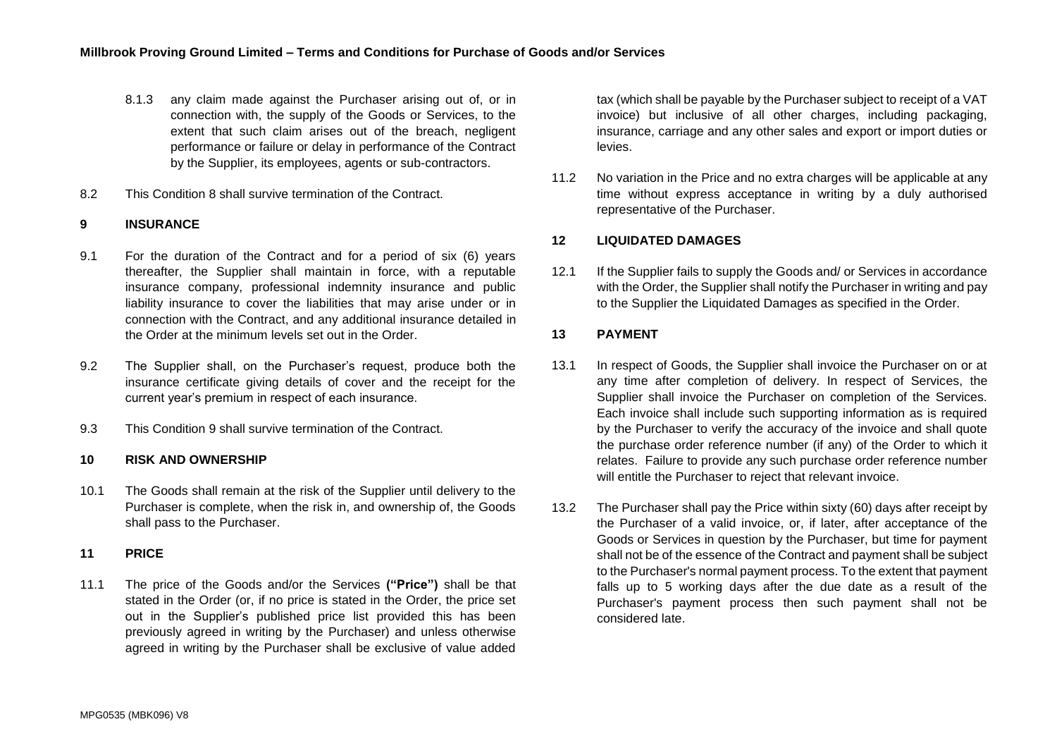- 8.1.3 any claim made against the Purchaser arising out of, or in connection with, the supply of the Goods or Services, to the extent that such claim arises out of the breach, negligent performance or failure or delay in performance of the Contract by the Supplier, its employees, agents or sub-contractors.
- 8.2 This Condition [8](#page-6-0) shall survive termination of the Contract.

# <span id="page-7-1"></span>**9 INSURANCE**

- 9.1 For the duration of the Contract and for a period of six (6) years thereafter, the Supplier shall maintain in force, with a reputable insurance company, professional indemnity insurance and public liability insurance to cover the liabilities that may arise under or in connection with the Contract, and any additional insurance detailed in the Order at the minimum levels set out in the Order.
- 9.2 The Supplier shall, on the Purchaser's request, produce both the insurance certificate giving details of cover and the receipt for the current year's premium in respect of each insurance.
- 9.3 This Condition [9](#page-7-1) shall survive termination of the Contract.

#### **10 RISK AND OWNERSHIP**

10.1 The Goods shall remain at the risk of the Supplier until delivery to the Purchaser is complete, when the risk in, and ownership of, the Goods shall pass to the Purchaser.

#### **11 PRICE**

<span id="page-7-0"></span>11.1 The price of the Goods and/or the Services **("Price")** shall be that stated in the Order (or, if no price is stated in the Order, the price set out in the Supplier's published price list provided this has been previously agreed in writing by the Purchaser) and unless otherwise agreed in writing by the Purchaser shall be exclusive of value added

tax (which shall be payable by the Purchaser subject to receipt of a VAT invoice) but inclusive of all other charges, including packaging, insurance, carriage and any other sales and export or import duties or levies.

11.2 No variation in the Price and no extra charges will be applicable at any time without express acceptance in writing by a duly authorised representative of the Purchaser.

## **12 LIQUIDATED DAMAGES**

12.1 If the Supplier fails to supply the Goods and/ or Services in accordance with the Order, the Supplier shall notify the Purchaser in writing and pay to the Supplier the Liquidated Damages as specified in the Order.

## **13 PAYMENT**

- 13.1 In respect of Goods, the Supplier shall invoice the Purchaser on or at any time after completion of delivery. In respect of Services, the Supplier shall invoice the Purchaser on completion of the Services. Each invoice shall include such supporting information as is required by the Purchaser to verify the accuracy of the invoice and shall quote the purchase order reference number (if any) of the Order to which it relates. Failure to provide any such purchase order reference number will entitle the Purchaser to reject that relevant invoice.
- 13.2 The Purchaser shall pay the Price within sixty (60) days after receipt by the Purchaser of a valid invoice, or, if later, after acceptance of the Goods or Services in question by the Purchaser, but time for payment shall not be of the essence of the Contract and payment shall be subject to the Purchaser's normal payment process. To the extent that payment falls up to 5 working days after the due date as a result of the Purchaser's payment process then such payment shall not be considered late.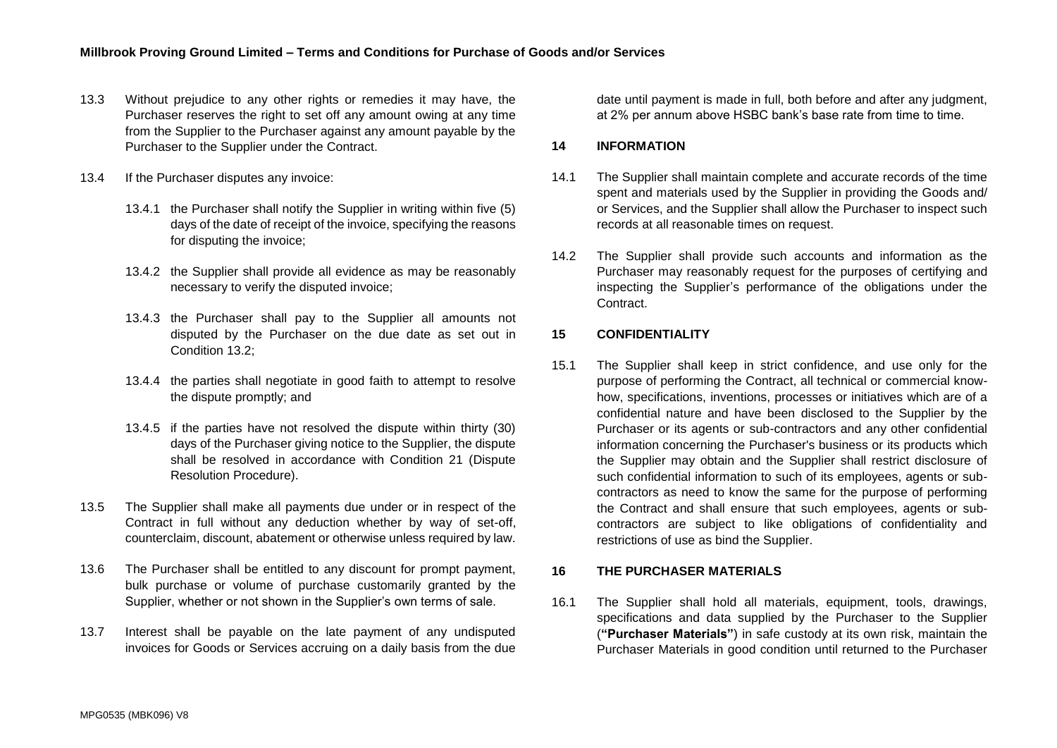- 13.3 Without prejudice to any other rights or remedies it may have, the Purchaser reserves the right to set off any amount owing at any time from the Supplier to the Purchaser against any amount payable by the Purchaser to the Supplier under the Contract.
- 13.4 If the Purchaser disputes any invoice:
	- 13.4.1 the Purchaser shall notify the Supplier in writing within five (5) days of the date of receipt of the invoice, specifying the reasons for disputing the invoice;
	- 13.4.2 the Supplier shall provide all evidence as may be reasonably necessary to verify the disputed invoice;
	- 13.4.3 the Purchaser shall pay to the Supplier all amounts not disputed by the Purchaser on the due date as set out in Condition 13.2;
	- 13.4.4 the parties shall negotiate in good faith to attempt to resolve the dispute promptly; and
	- 13.4.5 if the parties have not resolved the dispute within thirty (30) days of the Purchaser giving notice to the Supplier, the dispute shall be resolved in accordance with Condition 21 (Dispute Resolution Procedure).
- 13.5 The Supplier shall make all payments due under or in respect of the Contract in full without any deduction whether by way of set-off, counterclaim, discount, abatement or otherwise unless required by law.
- 13.6 The Purchaser shall be entitled to any discount for prompt payment, bulk purchase or volume of purchase customarily granted by the Supplier, whether or not shown in the Supplier's own terms of sale.
- 13.7 Interest shall be payable on the late payment of any undisputed invoices for Goods or Services accruing on a daily basis from the due

date until payment is made in full, both before and after any judgment, at 2% per annum above HSBC bank's base rate from time to time.

## **14 INFORMATION**

- 14.1 The Supplier shall maintain complete and accurate records of the time spent and materials used by the Supplier in providing the Goods and/ or Services, and the Supplier shall allow the Purchaser to inspect such records at all reasonable times on request.
- 14.2 The Supplier shall provide such accounts and information as the Purchaser may reasonably request for the purposes of certifying and inspecting the Supplier's performance of the obligations under the **Contract**

## **15 CONFIDENTIALITY**

15.1 The Supplier shall keep in strict confidence, and use only for the purpose of performing the Contract, all technical or commercial knowhow, specifications, inventions, processes or initiatives which are of a confidential nature and have been disclosed to the Supplier by the Purchaser or its agents or sub-contractors and any other confidential information concerning the Purchaser's business or its products which the Supplier may obtain and the Supplier shall restrict disclosure of such confidential information to such of its employees, agents or subcontractors as need to know the same for the purpose of performing the Contract and shall ensure that such employees, agents or subcontractors are subject to like obligations of confidentiality and restrictions of use as bind the Supplier.

## <span id="page-8-0"></span>**16 THE PURCHASER MATERIALS**

16.1 The Supplier shall hold all materials, equipment, tools, drawings, specifications and data supplied by the Purchaser to the Supplier (**"Purchaser Materials"**) in safe custody at its own risk, maintain the Purchaser Materials in good condition until returned to the Purchaser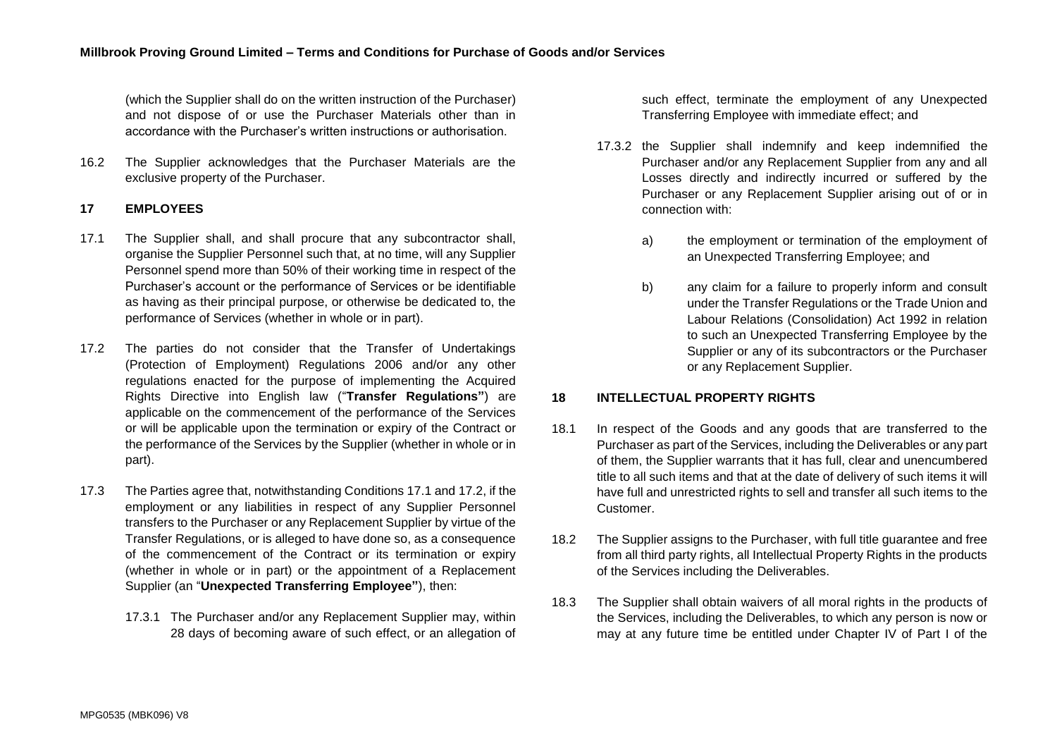(which the Supplier shall do on the written instruction of the Purchaser) and not dispose of or use the Purchaser Materials other than in accordance with the Purchaser's written instructions or authorisation.

16.2 The Supplier acknowledges that the Purchaser Materials are the exclusive property of the Purchaser.

## **17 EMPLOYEES**

- <span id="page-9-0"></span>17.1 The Supplier shall, and shall procure that any subcontractor shall, organise the Supplier Personnel such that, at no time, will any Supplier Personnel spend more than 50% of their working time in respect of the Purchaser's account or the performance of Services or be identifiable as having as their principal purpose, or otherwise be dedicated to, the performance of Services (whether in whole or in part).
- <span id="page-9-1"></span>17.2 The parties do not consider that the Transfer of Undertakings (Protection of Employment) Regulations 2006 and/or any other regulations enacted for the purpose of implementing the Acquired Rights Directive into English law ("**Transfer Regulations"**) are applicable on the commencement of the performance of the Services or will be applicable upon the termination or expiry of the Contract or the performance of the Services by the Supplier (whether in whole or in part).
- 17.3 The Parties agree that, notwithstanding Conditions [17.1](#page-9-0) and [17.2,](#page-9-1) if the employment or any liabilities in respect of any Supplier Personnel transfers to the Purchaser or any Replacement Supplier by virtue of the Transfer Regulations, or is alleged to have done so, as a consequence of the commencement of the Contract or its termination or expiry (whether in whole or in part) or the appointment of a Replacement Supplier (an "**Unexpected Transferring Employee"**), then:
	- 17.3.1 The Purchaser and/or any Replacement Supplier may, within 28 days of becoming aware of such effect, or an allegation of

such effect, terminate the employment of any Unexpected Transferring Employee with immediate effect; and

- 17.3.2 the Supplier shall indemnify and keep indemnified the Purchaser and/or any Replacement Supplier from any and all Losses directly and indirectly incurred or suffered by the Purchaser or any Replacement Supplier arising out of or in connection with:
	- a) the employment or termination of the employment of an Unexpected Transferring Employee; and
	- b) any claim for a failure to properly inform and consult under the Transfer Regulations or the Trade Union and Labour Relations (Consolidation) Act 1992 in relation to such an Unexpected Transferring Employee by the Supplier or any of its subcontractors or the Purchaser or any Replacement Supplier.

## **18 INTELLECTUAL PROPERTY RIGHTS**

- 18.1 In respect of the Goods and any goods that are transferred to the Purchaser as part of the Services, including the Deliverables or any part of them, the Supplier warrants that it has full, clear and unencumbered title to all such items and that at the date of delivery of such items it will have full and unrestricted rights to sell and transfer all such items to the Customer.
- <span id="page-9-2"></span>18.2 The Supplier assigns to the Purchaser, with full title guarantee and free from all third party rights, all Intellectual Property Rights in the products of the Services including the Deliverables.
- 18.3 The Supplier shall obtain waivers of all moral rights in the products of the Services, including the Deliverables, to which any person is now or may at any future time be entitled under Chapter IV of Part I of the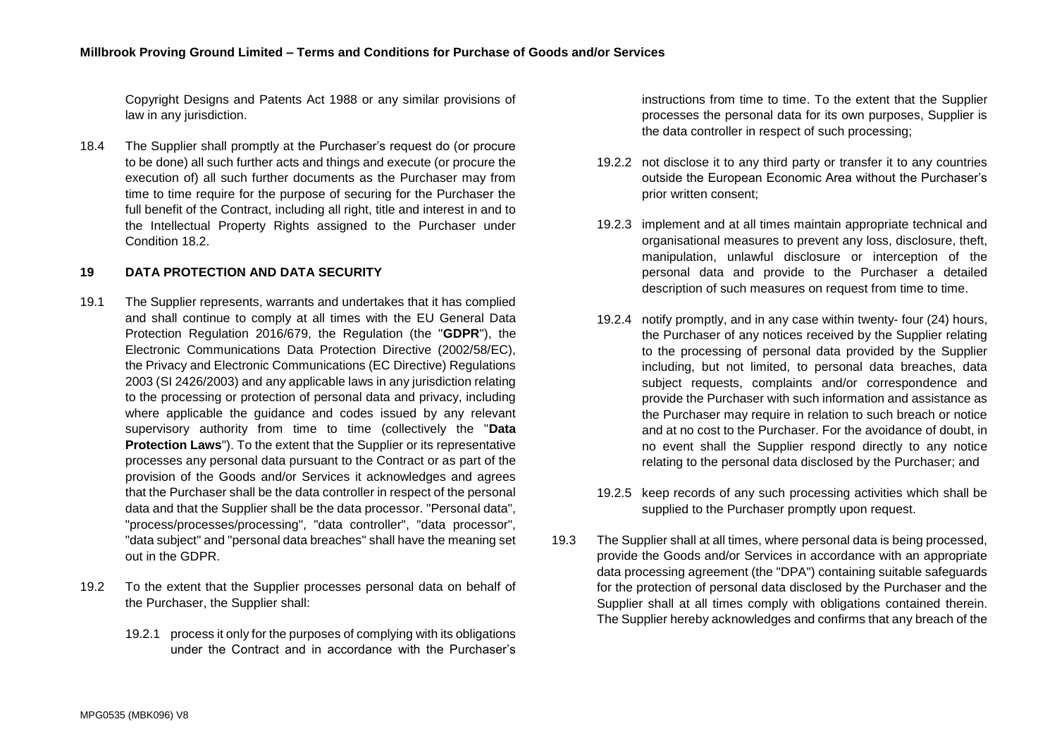Copyright Designs and Patents Act 1988 or any similar provisions of law in any jurisdiction.

18.4 The Supplier shall promptly at the Purchaser's request do (or procure to be done) all such further acts and things and execute (or procure the execution of) all such further documents as the Purchaser may from time to time require for the purpose of securing for the Purchaser the full benefit of the Contract, including all right, title and interest in and to the Intellectual Property Rights assigned to the Purchaser under Condition [18.2.](#page-9-2)

## <span id="page-10-0"></span>**19 DATA PROTECTION AND DATA SECURITY**

- 19.1 The Supplier represents, warrants and undertakes that it has complied and shall continue to comply at all times with the EU General Data Protection Regulation 2016/679, the Regulation (the "**GDPR**"), the Electronic Communications Data Protection Directive (2002/58/EC), the Privacy and Electronic Communications (EC Directive) Regulations 2003 (SI 2426/2003) and any applicable laws in any jurisdiction relating to the processing or protection of personal data and privacy, including where applicable the quidance and codes issued by any relevant supervisory authority from time to time (collectively the "**Data Protection Laws**"). To the extent that the Supplier or its representative processes any personal data pursuant to the Contract or as part of the provision of the Goods and/or Services it acknowledges and agrees that the Purchaser shall be the data controller in respect of the personal data and that the Supplier shall be the data processor. "Personal data", "process/processes/processing", "data controller", "data processor", "data subject" and "personal data breaches" shall have the meaning set out in the GDPR.
- 19.2 To the extent that the Supplier processes personal data on behalf of the Purchaser, the Supplier shall:
	- 19.2.1 process it only for the purposes of complying with its obligations under the Contract and in accordance with the Purchaser's

instructions from time to time. To the extent that the Supplier processes the personal data for its own purposes, Supplier is the data controller in respect of such processing;

- 19.2.2 not disclose it to any third party or transfer it to any countries outside the European Economic Area without the Purchaser's prior written consent;
- 19.2.3 implement and at all times maintain appropriate technical and organisational measures to prevent any loss, disclosure, theft, manipulation, unlawful disclosure or interception of the personal data and provide to the Purchaser a detailed description of such measures on request from time to time.
- 19.2.4 notify promptly, and in any case within twenty- four (24) hours, the Purchaser of any notices received by the Supplier relating to the processing of personal data provided by the Supplier including, but not limited, to personal data breaches, data subject requests, complaints and/or correspondence and provide the Purchaser with such information and assistance as the Purchaser may require in relation to such breach or notice and at no cost to the Purchaser. For the avoidance of doubt, in no event shall the Supplier respond directly to any notice relating to the personal data disclosed by the Purchaser; and
- 19.2.5 keep records of any such processing activities which shall be supplied to the Purchaser promptly upon request.
- 19.3 The Supplier shall at all times, where personal data is being processed, provide the Goods and/or Services in accordance with an appropriate data processing agreement (the "DPA") containing suitable safeguards for the protection of personal data disclosed by the Purchaser and the Supplier shall at all times comply with obligations contained therein. The Supplier hereby acknowledges and confirms that any breach of the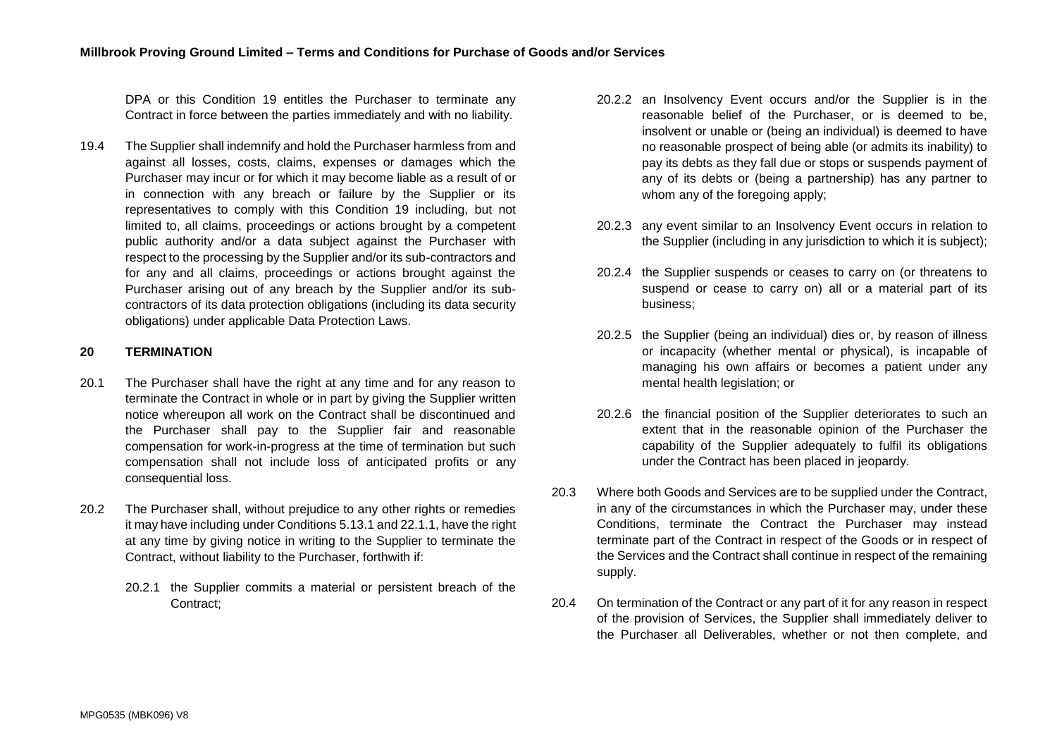DPA or this Condition 19 entitles the Purchaser to terminate any Contract in force between the parties immediately and with no liability.

19.4 The Supplier shall indemnify and hold the Purchaser harmless from and against all losses, costs, claims, expenses or damages which the Purchaser may incur or for which it may become liable as a result of or in connection with any breach or failure by the Supplier or its representatives to comply with this Condition [19](#page-10-0) including, but not limited to, all claims, proceedings or actions brought by a competent public authority and/or a data subject against the Purchaser with respect to the processing by the Supplier and/or its sub-contractors and for any and all claims, proceedings or actions brought against the Purchaser arising out of any breach by the Supplier and/or its subcontractors of its data protection obligations (including its data security obligations) under applicable Data Protection Laws.

# <span id="page-11-0"></span>**20 TERMINATION**

- 20.1 The Purchaser shall have the right at any time and for any reason to terminate the Contract in whole or in part by giving the Supplier written notice whereupon all work on the Contract shall be discontinued and the Purchaser shall pay to the Supplier fair and reasonable compensation for work-in-progress at the time of termination but such compensation shall not include loss of anticipated profits or any consequential loss.
- <span id="page-11-1"></span>20.2 The Purchaser shall, without prejudice to any other rights or remedies it may have including under Condition[s 5.13.1](#page-5-1) and [22.1.1,](#page-12-1) have the right at any time by giving notice in writing to the Supplier to terminate the Contract, without liability to the Purchaser, forthwith if:
	- 20.2.1 the Supplier commits a material or persistent breach of the Contract;
- 20.2.2 an Insolvency Event occurs and/or the Supplier is in the reasonable belief of the Purchaser, or is deemed to be, insolvent or unable or (being an individual) is deemed to have no reasonable prospect of being able (or admits its inability) to pay its debts as they fall due or stops or suspends payment of any of its debts or (being a partnership) has any partner to whom any of the foregoing apply;
- 20.2.3 any event similar to an Insolvency Event occurs in relation to the Supplier (including in any jurisdiction to which it is subject);
- 20.2.4 the Supplier suspends or ceases to carry on (or threatens to suspend or cease to carry on) all or a material part of its business;
- 20.2.5 the Supplier (being an individual) dies or, by reason of illness or incapacity (whether mental or physical), is incapable of managing his own affairs or becomes a patient under any mental health legislation; or
- 20.2.6 the financial position of the Supplier deteriorates to such an extent that in the reasonable opinion of the Purchaser the capability of the Supplier adequately to fulfil its obligations under the Contract has been placed in jeopardy.
- 20.3 Where both Goods and Services are to be supplied under the Contract, in any of the circumstances in which the Purchaser may, under these Conditions, terminate the Contract the Purchaser may instead terminate part of the Contract in respect of the Goods or in respect of the Services and the Contract shall continue in respect of the remaining supply.
- 20.4 On termination of the Contract or any part of it for any reason in respect of the provision of Services, the Supplier shall immediately deliver to the Purchaser all Deliverables, whether or not then complete, and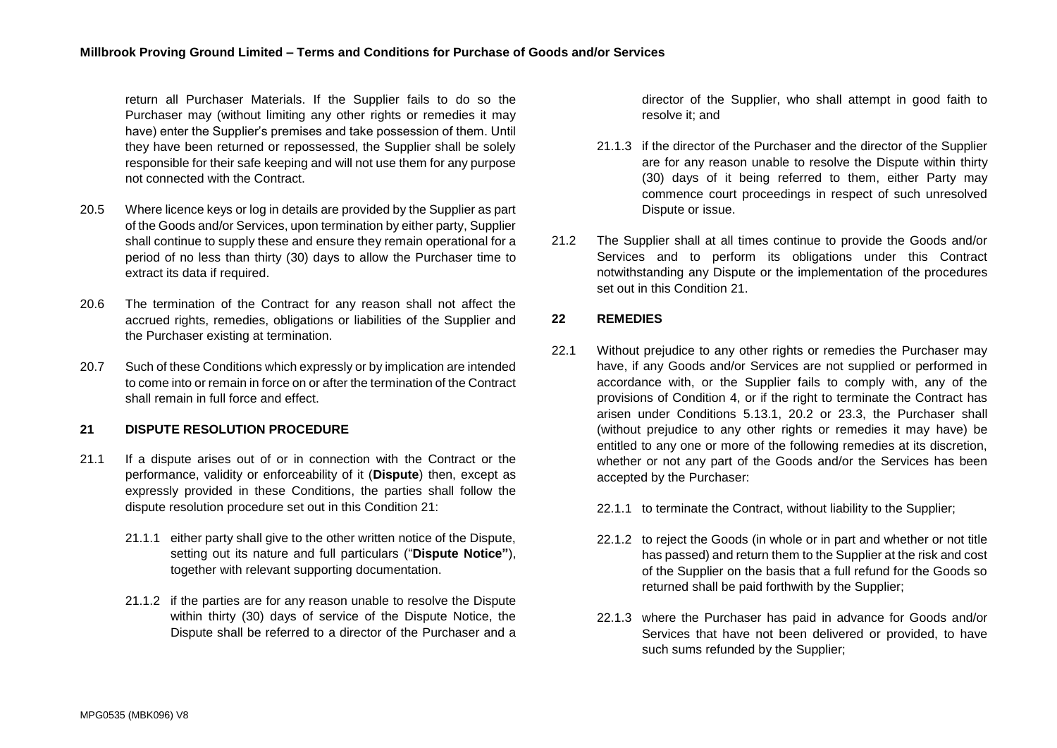return all Purchaser Materials. If the Supplier fails to do so the Purchaser may (without limiting any other rights or remedies it may have) enter the Supplier's premises and take possession of them. Until they have been returned or repossessed, the Supplier shall be solely responsible for their safe keeping and will not use them for any purpose not connected with the Contract.

- 20.5 Where licence keys or log in details are provided by the Supplier as part of the Goods and/or Services, upon termination by either party, Supplier shall continue to supply these and ensure they remain operational for a period of no less than thirty (30) days to allow the Purchaser time to extract its data if required.
- 20.6 The termination of the Contract for any reason shall not affect the accrued rights, remedies, obligations or liabilities of the Supplier and the Purchaser existing at termination.
- 20.7 Such of these Conditions which expressly or by implication are intended to come into or remain in force on or after the termination of the Contract shall remain in full force and effect.

## <span id="page-12-2"></span>**21 DISPUTE RESOLUTION PROCEDURE**

- 21.1 If a dispute arises out of or in connection with the Contract or the performance, validity or enforceability of it (**Dispute**) then, except as expressly provided in these Conditions, the parties shall follow the dispute resolution procedure set out in this Condition [21:](#page-12-2)
	- 21.1.1 either party shall give to the other written notice of the Dispute, setting out its nature and full particulars ("**Dispute Notice"**), together with relevant supporting documentation.
	- 21.1.2 if the parties are for any reason unable to resolve the Dispute within thirty (30) days of service of the Dispute Notice, the Dispute shall be referred to a director of the Purchaser and a

director of the Supplier, who shall attempt in good faith to resolve it; and

- 21.1.3 if the director of the Purchaser and the director of the Supplier are for any reason unable to resolve the Dispute within thirty (30) days of it being referred to them, either Party may commence court proceedings in respect of such unresolved Dispute or issue.
- 21.2 The Supplier shall at all times continue to provide the Goods and/or Services and to perform its obligations under this Contract notwithstanding any Dispute or the implementation of the procedures set out in this Condition 21

## <span id="page-12-0"></span>**22 REMEDIES**

- <span id="page-12-1"></span>22.1 Without prejudice to any other rights or remedies the Purchaser may have, if any Goods and/or Services are not supplied or performed in accordance with, or the Supplier fails to comply with, any of the provisions of Condition [4,](#page-2-1) or if the right to terminate the Contract has arisen under Conditions [5.13.1,](#page-5-1) [20.2](#page-11-1) or [23.3,](#page-14-0) the Purchaser shall (without prejudice to any other rights or remedies it may have) be entitled to any one or more of the following remedies at its discretion, whether or not any part of the Goods and/or the Services has been accepted by the Purchaser:
	- 22.1.1 to terminate the Contract, without liability to the Supplier;
	- 22.1.2 to reject the Goods (in whole or in part and whether or not title has passed) and return them to the Supplier at the risk and cost of the Supplier on the basis that a full refund for the Goods so returned shall be paid forthwith by the Supplier;
	- 22.1.3 where the Purchaser has paid in advance for Goods and/or Services that have not been delivered or provided, to have such sums refunded by the Supplier;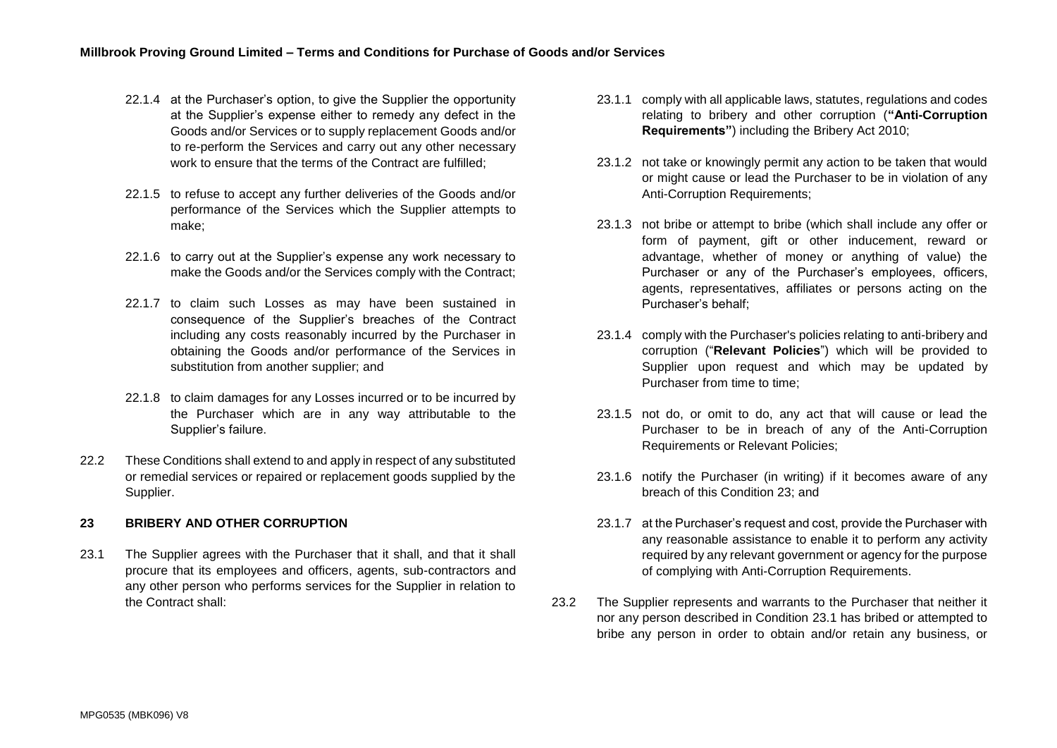- 22.1.4 at the Purchaser's option, to give the Supplier the opportunity at the Supplier's expense either to remedy any defect in the Goods and/or Services or to supply replacement Goods and/or to re-perform the Services and carry out any other necessary work to ensure that the terms of the Contract are fulfilled;
- 22.1.5 to refuse to accept any further deliveries of the Goods and/or performance of the Services which the Supplier attempts to make;
- 22.1.6 to carry out at the Supplier's expense any work necessary to make the Goods and/or the Services comply with the Contract;
- 22.1.7 to claim such Losses as may have been sustained in consequence of the Supplier's breaches of the Contract including any costs reasonably incurred by the Purchaser in obtaining the Goods and/or performance of the Services in substitution from another supplier; and
- 22.1.8 to claim damages for any Losses incurred or to be incurred by the Purchaser which are in any way attributable to the Supplier's failure.
- 22.2 These Conditions shall extend to and apply in respect of any substituted or remedial services or repaired or replacement goods supplied by the Supplier.

## <span id="page-13-2"></span>**23 BRIBERY AND OTHER CORRUPTION**

<span id="page-13-0"></span>23.1 The Supplier agrees with the Purchaser that it shall, and that it shall procure that its employees and officers, agents, sub-contractors and any other person who performs services for the Supplier in relation to the Contract shall:

- 23.1.1 comply with all applicable laws, statutes, regulations and codes relating to bribery and other corruption (**"Anti-Corruption Requirements"**) including the Bribery Act 2010;
- 23.1.2 not take or knowingly permit any action to be taken that would or might cause or lead the Purchaser to be in violation of any Anti-Corruption Requirements:
- <span id="page-13-1"></span>23.1.3 not bribe or attempt to bribe (which shall include any offer or form of payment, gift or other inducement, reward or advantage, whether of money or anything of value) the Purchaser or any of the Purchaser's employees, officers, agents, representatives, affiliates or persons acting on the Purchaser's behalf;
- 23.1.4 comply with the Purchaser's policies relating to anti-bribery and corruption ("**Relevant Policies**") which will be provided to Supplier upon request and which may be updated by Purchaser from time to time:
- 23.1.5 not do, or omit to do, any act that will cause or lead the Purchaser to be in breach of any of the Anti-Corruption Requirements or Relevant Policies;
- 23.1.6 notify the Purchaser (in writing) if it becomes aware of any breach of this Condition 23; and
- 23.1.7 at the Purchaser's request and cost, provide the Purchaser with any reasonable assistance to enable it to perform any activity required by any relevant government or agency for the purpose of complying with Anti-Corruption Requirements.
- 23.2 The Supplier represents and warrants to the Purchaser that neither it nor any person described in Condition [23.1](#page-13-0) has bribed or attempted to bribe any person in order to obtain and/or retain any business, or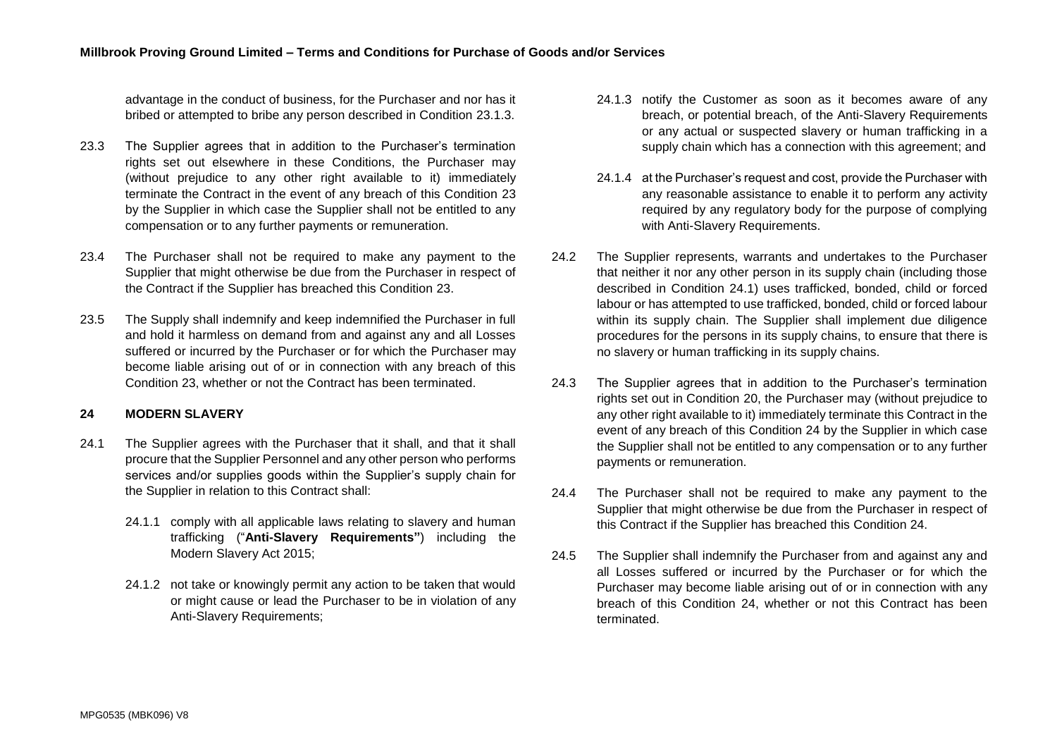advantage in the conduct of business, for the Purchaser and nor has it bribed or attempted to bribe any person described in Condition [23.1.3.](#page-13-1)

- <span id="page-14-0"></span>23.3 The Supplier agrees that in addition to the Purchaser's termination rights set out elsewhere in these Conditions, the Purchaser may (without prejudice to any other right available to it) immediately terminate the Contract in the event of any breach of this Condition [23](#page-13-2) by the Supplier in which case the Supplier shall not be entitled to any compensation or to any further payments or remuneration.
- 23.4 The Purchaser shall not be required to make any payment to the Supplier that might otherwise be due from the Purchaser in respect of the Contract if the Supplier has breached this Condition [23.](#page-13-2)
- 23.5 The Supply shall indemnify and keep indemnified the Purchaser in full and hold it harmless on demand from and against any and all Losses suffered or incurred by the Purchaser or for which the Purchaser may become liable arising out of or in connection with any breach of this Condition [23,](#page-13-2) whether or not the Contract has been terminated.

## <span id="page-14-2"></span>**24 MODERN SLAVERY**

- <span id="page-14-1"></span>24.1 The Supplier agrees with the Purchaser that it shall, and that it shall procure that the Supplier Personnel and any other person who performs services and/or supplies goods within the Supplier's supply chain for the Supplier in relation to this Contract shall:
	- 24.1.1 comply with all applicable laws relating to slavery and human trafficking ("**Anti-Slavery Requirements"**) including the Modern Slavery Act 2015;
	- 24.1.2 not take or knowingly permit any action to be taken that would or might cause or lead the Purchaser to be in violation of any Anti-Slavery Requirements:
- 24.1.3 notify the Customer as soon as it becomes aware of any breach, or potential breach, of the Anti-Slavery Requirements or any actual or suspected slavery or human trafficking in a supply chain which has a connection with this agreement; and
- 24.1.4 at the Purchaser's request and cost, provide the Purchaser with any reasonable assistance to enable it to perform any activity required by any regulatory body for the purpose of complying with Anti-Slavery Requirements.
- 24.2 The Supplier represents, warrants and undertakes to the Purchaser that neither it nor any other person in its supply chain (including those described in Condition [24.1\)](#page-14-1) uses trafficked, bonded, child or forced labour or has attempted to use trafficked, bonded, child or forced labour within its supply chain. The Supplier shall implement due diligence procedures for the persons in its supply chains, to ensure that there is no slavery or human trafficking in its supply chains.
- 24.3 The Supplier agrees that in addition to the Purchaser's termination rights set out in Condition [20,](#page-11-0) the Purchaser may (without prejudice to any other right available to it) immediately terminate this Contract in the event of any breach of this Condition [24](#page-14-2) by the Supplier in which case the Supplier shall not be entitled to any compensation or to any further payments or remuneration.
- 24.4 The Purchaser shall not be required to make any payment to the Supplier that might otherwise be due from the Purchaser in respect of this Contract if the Supplier has breached this Condition [24.](#page-14-2)
- 24.5 The Supplier shall indemnify the Purchaser from and against any and all Losses suffered or incurred by the Purchaser or for which the Purchaser may become liable arising out of or in connection with any breach of this Condition [24,](#page-14-2) whether or not this Contract has been terminated.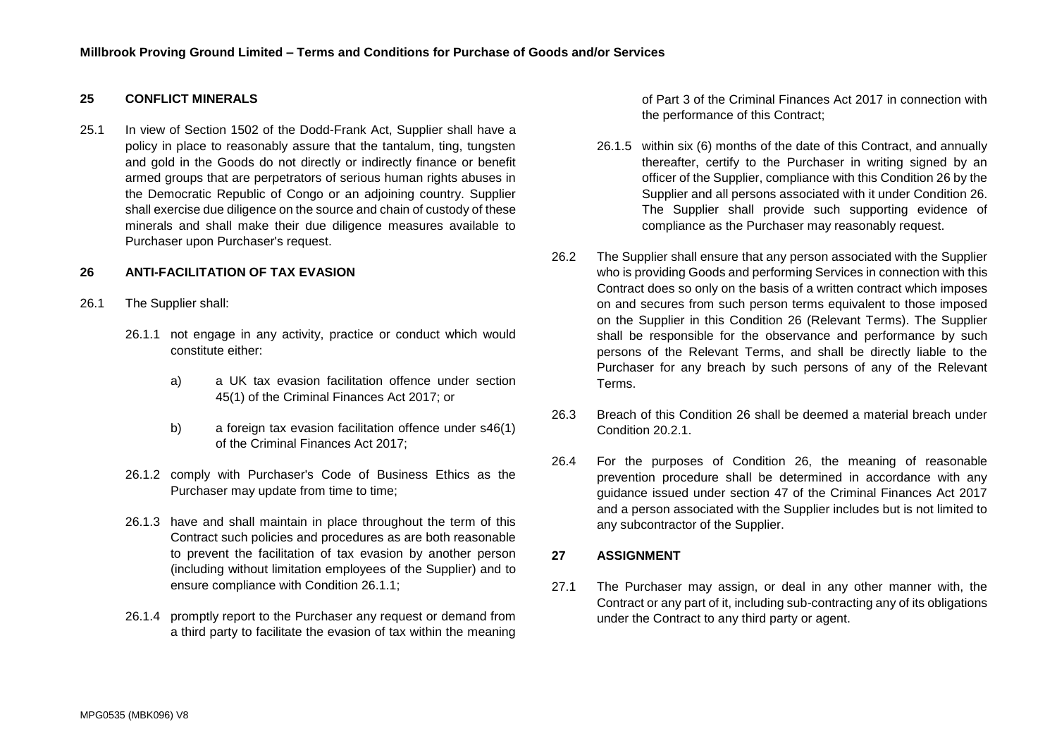## **25 CONFLICT MINERALS**

25.1 In view of Section 1502 of the Dodd-Frank Act, Supplier shall have a policy in place to reasonably assure that the tantalum, ting, tungsten and gold in the Goods do not directly or indirectly finance or benefit armed groups that are perpetrators of serious human rights abuses in the Democratic Republic of Congo or an adjoining country. Supplier shall exercise due diligence on the source and chain of custody of these minerals and shall make their due diligence measures available to Purchaser upon Purchaser's request.

## **26 ANTI-FACILITATION OF TAX EVASION**

- 26.1 The Supplier shall:
	- 26.1.1 not engage in any activity, practice or conduct which would constitute either:
		- a) a UK tax evasion facilitation offence under section 45(1) of the Criminal Finances Act 2017; or
		- b) a foreign tax evasion facilitation offence under s46(1) of the Criminal Finances Act 2017;
	- 26.1.2 comply with Purchaser's Code of Business Ethics as the Purchaser may update from time to time;
	- 26.1.3 have and shall maintain in place throughout the term of this Contract such policies and procedures as are both reasonable to prevent the facilitation of tax evasion by another person (including without limitation employees of the Supplier) and to ensure compliance with Condition 26.1.1;
	- 26.1.4 promptly report to the Purchaser any request or demand from a third party to facilitate the evasion of tax within the meaning

of Part 3 of the Criminal Finances Act 2017 in connection with the performance of this Contract;

- 26.1.5 within six (6) months of the date of this Contract, and annually thereafter, certify to the Purchaser in writing signed by an officer of the Supplier, compliance with this Condition 26 by the Supplier and all persons associated with it under Condition 26. The Supplier shall provide such supporting evidence of compliance as the Purchaser may reasonably request.
- 26.2 The Supplier shall ensure that any person associated with the Supplier who is providing Goods and performing Services in connection with this Contract does so only on the basis of a written contract which imposes on and secures from such person terms equivalent to those imposed on the Supplier in this Condition 26 (Relevant Terms). The Supplier shall be responsible for the observance and performance by such persons of the Relevant Terms, and shall be directly liable to the Purchaser for any breach by such persons of any of the Relevant Terms.
- 26.3 Breach of this Condition 26 shall be deemed a material breach under Condition 20.2.1
- 26.4 For the purposes of Condition 26, the meaning of reasonable prevention procedure shall be determined in accordance with any guidance issued under section 47 of the Criminal Finances Act 2017 and a person associated with the Supplier includes but is not limited to any subcontractor of the Supplier.

## **27 ASSIGNMENT**

27.1 The Purchaser may assign, or deal in any other manner with, the Contract or any part of it, including sub-contracting any of its obligations under the Contract to any third party or agent.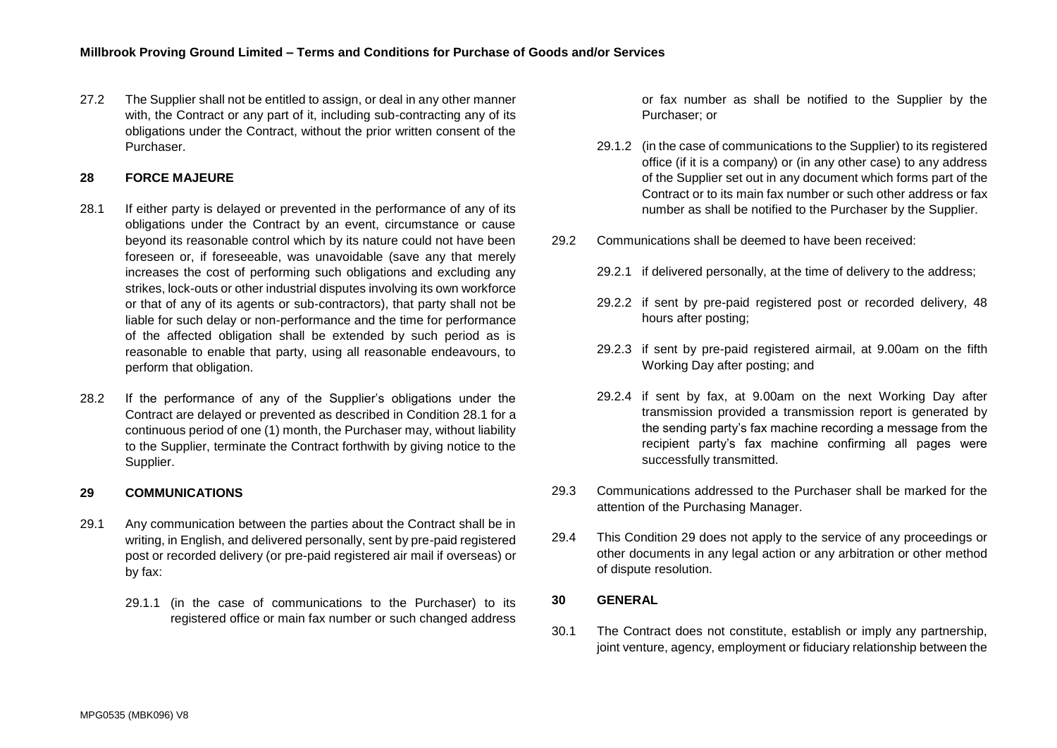27.2 The Supplier shall not be entitled to assign, or deal in any other manner with, the Contract or any part of it, including sub-contracting any of its obligations under the Contract, without the prior written consent of the Purchaser.

## **28 FORCE MAJEURE**

- <span id="page-16-0"></span>28.1 If either party is delayed or prevented in the performance of any of its obligations under the Contract by an event, circumstance or cause beyond its reasonable control which by its nature could not have been foreseen or, if foreseeable, was unavoidable (save any that merely increases the cost of performing such obligations and excluding any strikes, lock-outs or other industrial disputes involving its own workforce or that of any of its agents or sub-contractors), that party shall not be liable for such delay or non-performance and the time for performance of the affected obligation shall be extended by such period as is reasonable to enable that party, using all reasonable endeavours, to perform that obligation.
- 28.2 If the performance of any of the Supplier's obligations under the Contract are delayed or prevented as described in Condition [28.1](#page-16-0) for a continuous period of one (1) month, the Purchaser may, without liability to the Supplier, terminate the Contract forthwith by giving notice to the Supplier.

## **29 COMMUNICATIONS**

- 29.1 Any communication between the parties about the Contract shall be in writing, in English, and delivered personally, sent by pre-paid registered post or recorded delivery (or pre-paid registered air mail if overseas) or by fax:
	- 29.1.1 (in the case of communications to the Purchaser) to its registered office or main fax number or such changed address

or fax number as shall be notified to the Supplier by the Purchaser; or

- 29.1.2 (in the case of communications to the Supplier) to its registered office (if it is a company) or (in any other case) to any address of the Supplier set out in any document which forms part of the Contract or to its main fax number or such other address or fax number as shall be notified to the Purchaser by the Supplier.
- 29.2 Communications shall be deemed to have been received:
	- 29.2.1 if delivered personally, at the time of delivery to the address;
	- 29.2.2 if sent by pre-paid registered post or recorded delivery, 48 hours after posting;
	- 29.2.3 if sent by pre-paid registered airmail, at 9.00am on the fifth Working Day after posting; and
	- 29.2.4 if sent by fax, at 9.00am on the next Working Day after transmission provided a transmission report is generated by the sending party's fax machine recording a message from the recipient party's fax machine confirming all pages were successfully transmitted.
- 29.3 Communications addressed to the Purchaser shall be marked for the attention of the Purchasing Manager.
- 29.4 This Condition 29 does not apply to the service of any proceedings or other documents in any legal action or any arbitration or other method of dispute resolution.

#### **30 GENERAL**

30.1 The Contract does not constitute, establish or imply any partnership, joint venture, agency, employment or fiduciary relationship between the